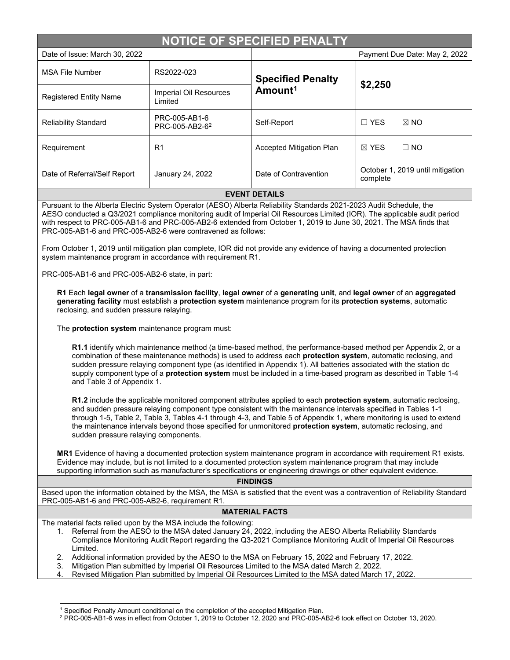| NOTICE OF SPECIFIED PENALTY                                                                                                                                                                                                                                                                                                                                                                                                                                                                                                                                                                                                                                                                                                                                                                                                                                                                                                                                                 |                                             |                                                 |                                              |  |  |  |
|-----------------------------------------------------------------------------------------------------------------------------------------------------------------------------------------------------------------------------------------------------------------------------------------------------------------------------------------------------------------------------------------------------------------------------------------------------------------------------------------------------------------------------------------------------------------------------------------------------------------------------------------------------------------------------------------------------------------------------------------------------------------------------------------------------------------------------------------------------------------------------------------------------------------------------------------------------------------------------|---------------------------------------------|-------------------------------------------------|----------------------------------------------|--|--|--|
| Date of Issue: March 30, 2022                                                                                                                                                                                                                                                                                                                                                                                                                                                                                                                                                                                                                                                                                                                                                                                                                                                                                                                                               |                                             |                                                 | Payment Due Date: May 2, 2022                |  |  |  |
| <b>MSA File Number</b>                                                                                                                                                                                                                                                                                                                                                                                                                                                                                                                                                                                                                                                                                                                                                                                                                                                                                                                                                      | RS2022-023                                  | <b>Specified Penalty</b><br>Amount <sup>1</sup> | \$2,250                                      |  |  |  |
| <b>Registered Entity Name</b>                                                                                                                                                                                                                                                                                                                                                                                                                                                                                                                                                                                                                                                                                                                                                                                                                                                                                                                                               | Imperial Oil Resources<br>Limited           |                                                 |                                              |  |  |  |
| <b>Reliability Standard</b>                                                                                                                                                                                                                                                                                                                                                                                                                                                                                                                                                                                                                                                                                                                                                                                                                                                                                                                                                 | PRC-005-AB1-6<br>PRC-005-AB2-6 <sup>2</sup> | Self-Report                                     | $\Box$ YES<br>$\boxtimes$ NO                 |  |  |  |
| Requirement                                                                                                                                                                                                                                                                                                                                                                                                                                                                                                                                                                                                                                                                                                                                                                                                                                                                                                                                                                 | R <sub>1</sub>                              | Accepted Mitigation Plan                        | $\boxtimes$ YES<br>$\Box$ NO                 |  |  |  |
| Date of Referral/Self Report                                                                                                                                                                                                                                                                                                                                                                                                                                                                                                                                                                                                                                                                                                                                                                                                                                                                                                                                                | January 24, 2022                            | Date of Contravention                           | October 1, 2019 until mitigation<br>complete |  |  |  |
|                                                                                                                                                                                                                                                                                                                                                                                                                                                                                                                                                                                                                                                                                                                                                                                                                                                                                                                                                                             |                                             | <b>EVENT DETAILS</b>                            |                                              |  |  |  |
| Pursuant to the Alberta Electric System Operator (AESO) Alberta Reliability Standards 2021-2023 Audit Schedule, the<br>AESO conducted a Q3/2021 compliance monitoring audit of Imperial Oil Resources Limited (IOR). The applicable audit period<br>with respect to PRC-005-AB1-6 and PRC-005-AB2-6 extended from October 1, 2019 to June 30, 2021. The MSA finds that<br>PRC-005-AB1-6 and PRC-005-AB2-6 were contravened as follows:<br>From October 1, 2019 until mitigation plan complete, IOR did not provide any evidence of having a documented protection<br>system maintenance program in accordance with requirement R1.<br>PRC-005-AB1-6 and PRC-005-AB2-6 state, in part:<br>R1 Each legal owner of a transmission facility, legal owner of a generating unit, and legal owner of an aggregated<br>generating facility must establish a protection system maintenance program for its protection systems, automatic<br>reclosing, and sudden pressure relaying. |                                             |                                                 |                                              |  |  |  |
| The protection system maintenance program must:<br>R1.1 identify which maintenance method (a time-based method, the performance-based method per Appendix 2, or a<br>combination of these maintenance methods) is used to address each protection system, automatic reclosing, and<br>sudden pressure relaying component type (as identified in Appendix 1). All batteries associated with the station dc<br>supply component type of a protection system must be included in a time-based program as described in Table 1-4<br>and Table 3 of Appendix 1.<br>R1.2 include the applicable monitored component attributes applied to each protection system, automatic reclosing,<br>and sudden pressure relaying component type consistent with the maintenance intervals specified in Tables 1-1                                                                                                                                                                           |                                             |                                                 |                                              |  |  |  |
| through 1-5, Table 2, Table 3, Tables 4-1 through 4-3, and Table 5 of Appendix 1, where monitoring is used to extend<br>the maintenance intervals beyond those specified for unmonitored protection system, automatic reclosing, and<br>sudden pressure relaying components.<br>MR1 Evidence of having a documented protection system maintenance program in accordance with requirement R1 exists.<br>Evidence may include, but is not limited to a documented protection system maintenance program that may include<br>supporting information such as manufacturer's specifications or engineering drawings or other equivalent evidence.<br><b>FINDINGS</b>                                                                                                                                                                                                                                                                                                             |                                             |                                                 |                                              |  |  |  |
|                                                                                                                                                                                                                                                                                                                                                                                                                                                                                                                                                                                                                                                                                                                                                                                                                                                                                                                                                                             |                                             |                                                 |                                              |  |  |  |
| Based upon the information obtained by the MSA, the MSA is satisfied that the event was a contravention of Reliability Standard<br>PRC-005-AB1-6 and PRC-005-AB2-6, requirement R1.                                                                                                                                                                                                                                                                                                                                                                                                                                                                                                                                                                                                                                                                                                                                                                                         |                                             |                                                 |                                              |  |  |  |
| <b>MATERIAL FACTS</b>                                                                                                                                                                                                                                                                                                                                                                                                                                                                                                                                                                                                                                                                                                                                                                                                                                                                                                                                                       |                                             |                                                 |                                              |  |  |  |
| The material facts relied upon by the MSA include the following:<br>1. Referral from the AESO to the MSA dated January 24, 2022, including the AESO Alberta Reliability Standards<br>Compliance Monitoring Audit Report regarding the Q3-2021 Compliance Monitoring Audit of Imperial Oil Resources<br>Limited.<br>Additional information provided by the AESO to the MSA on February 15, 2022 and February 17, 2022.<br>2.<br>Mitigation Plan submitted by Imperial Oil Resources Limited to the MSA dated March 2, 2022.<br>3.<br>Revised Mitigation Plan submitted by Imperial Oil Resources Limited to the MSA dated March 17, 2022.<br>4.                                                                                                                                                                                                                                                                                                                              |                                             |                                                 |                                              |  |  |  |
|                                                                                                                                                                                                                                                                                                                                                                                                                                                                                                                                                                                                                                                                                                                                                                                                                                                                                                                                                                             |                                             |                                                 |                                              |  |  |  |

 $1$  Specified Penalty Amount conditional on the completion of the accepted Mitigation Plan.

<span id="page-0-1"></span><span id="page-0-0"></span> $^2$  PRC-005-AB1-6 was in effect from October 1, 2019 to October 12, 2020 and PRC-005-AB2-6 took effect on October 13, 2020.